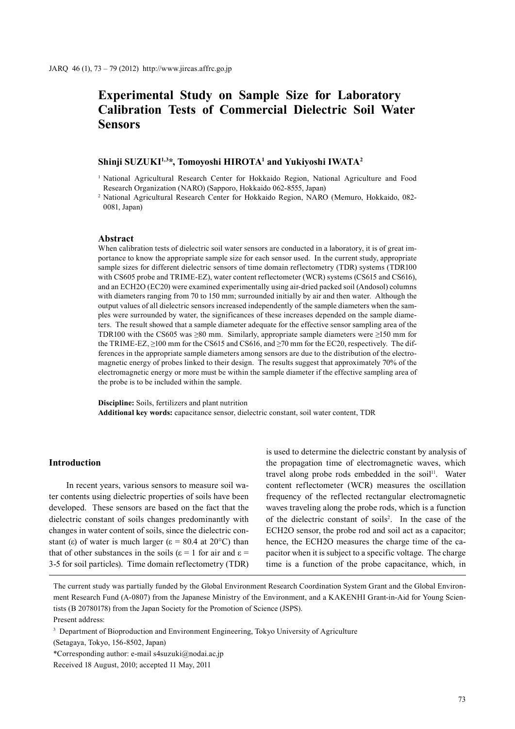# **Experimental Study on Sample Size for Laboratory Calibration Tests of Commercial Dielectric Soil Water Sensors**

#### **Shinji SUZUKI1,3\*, Tomoyoshi HIROTA1 and Yukiyoshi IWATA2**

<sup>1</sup> National Agricultural Research Center for Hokkaido Region, National Agriculture and Food Research Organization (NARO) (Sapporo, Hokkaido 062-8555, Japan)

<sup>2</sup> National Agricultural Research Center for Hokkaido Region, NARO (Memuro, Hokkaido, 082- 0081, Japan)

## **Abstract**

When calibration tests of dielectric soil water sensors are conducted in a laboratory, it is of great importance to know the appropriate sample size for each sensor used. In the current study, appropriate sample sizes for different dielectric sensors of time domain reflectometry (TDR) systems (TDR100 with CS605 probe and TRIME-EZ), water content reflectometer (WCR) systems (CS615 and CS616), and an ECH2O (EC20) were examined experimentally using air-dried packed soil (Andosol) columns with diameters ranging from 70 to 150 mm; surrounded initially by air and then water. Although the output values of all dielectric sensors increased independently of the sample diameters when the samples were surrounded by water, the significances of these increases depended on the sample diameters. The result showed that a sample diameter adequate for the effective sensor sampling area of the TDR100 with the CS605 was ≥80 mm. Similarly, appropriate sample diameters were ≥150 mm for the TRIME-EZ,  $\geq$ 100 mm for the CS615 and CS616, and  $\geq$ 70 mm for the EC20, respectively. The differences in the appropriate sample diameters among sensors are due to the distribution of the electromagnetic energy of probes linked to their design. The results suggest that approximately 70% of the electromagnetic energy or more must be within the sample diameter if the effective sampling area of the probe is to be included within the sample.

**Discipline:** Soils, fertilizers and plant nutrition **Additional key words:** capacitance sensor, dielectric constant, soil water content, TDR

# **Introduction**

In recent years, various sensors to measure soil water contents using dielectric properties of soils have been developed. These sensors are based on the fact that the dielectric constant of soils changes predominantly with changes in water content of soils, since the dielectric constant (ε) of water is much larger ( $\varepsilon = 80.4$  at 20<sup>o</sup>C) than that of other substances in the soils ( $\varepsilon$  = 1 for air and  $\varepsilon$  = 3-5 for soil particles). Time domain reflectometry (TDR) is used to determine the dielectric constant by analysis of the propagation time of electromagnetic waves, which travel along probe rods embedded in the soil<sup>11</sup>. Water content reflectometer (WCR) measures the oscillation frequency of the reflected rectangular electromagnetic waves traveling along the probe rods, which is a function of the dielectric constant of soils2 . In the case of the ECH2O sensor, the probe rod and soil act as a capacitor; hence, the ECH2O measures the charge time of the capacitor when it is subject to a specific voltage. The charge time is a function of the probe capacitance, which, in

(Setagaya, Tokyo, 156-8502, Japan)

\*Corresponding author: e-mail s4suzuki@nodai.ac.jp

The current study was partially funded by the Global Environment Research Coordination System Grant and the Global Environment Research Fund (A-0807) from the Japanese Ministry of the Environment, and a KAKENHI Grant-in-Aid for Young Scientists (B 20780178) from the Japan Society for the Promotion of Science (JSPS).

Present address:

<sup>&</sup>lt;sup>3</sup> Department of Bioproduction and Environment Engineering, Tokyo University of Agriculture

Received 18 August, 2010; accepted 11 May, 2011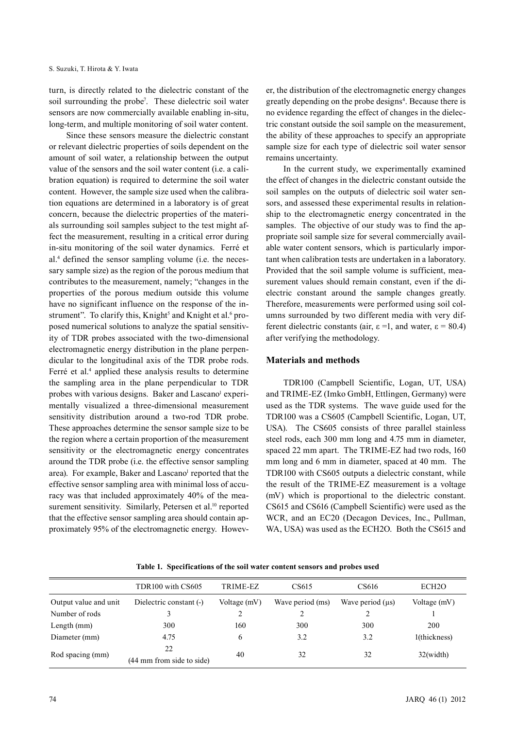turn, is directly related to the dielectric constant of the soil surrounding the probe<sup>7</sup>. These dielectric soil water sensors are now commercially available enabling in-situ, long-term, and multiple monitoring of soil water content.

Since these sensors measure the dielectric constant or relevant dielectric properties of soils dependent on the amount of soil water, a relationship between the output value of the sensors and the soil water content (i.e. a calibration equation) is required to determine the soil water content. However, the sample size used when the calibration equations are determined in a laboratory is of great concern, because the dielectric properties of the materials surrounding soil samples subject to the test might affect the measurement, resulting in a critical error during in-situ monitoring of the soil water dynamics. Ferré et al.4 defined the sensor sampling volume (i.e. the necessary sample size) as the region of the porous medium that contributes to the measurement, namely; "changes in the properties of the porous medium outside this volume have no significant influence on the response of the instrument". To clarify this, Knight<sup>5</sup> and Knight et al.<sup>6</sup> proposed numerical solutions to analyze the spatial sensitivity of TDR probes associated with the two-dimensional electromagnetic energy distribution in the plane perpendicular to the longitudinal axis of the TDR probe rods. Ferré et al.<sup>4</sup> applied these analysis results to determine the sampling area in the plane perpendicular to TDR probes with various designs. Baker and Lascano<sup>1</sup> experimentally visualized a three-dimensional measurement sensitivity distribution around a two-rod TDR probe. These approaches determine the sensor sample size to be the region where a certain proportion of the measurement sensitivity or the electromagnetic energy concentrates around the TDR probe (i.e. the effective sensor sampling area). For example, Baker and Lascano<sup>1</sup> reported that the effective sensor sampling area with minimal loss of accuracy was that included approximately 40% of the measurement sensitivity. Similarly, Petersen et al.<sup>10</sup> reported that the effective sensor sampling area should contain approximately 95% of the electromagnetic energy. However, the distribution of the electromagnetic energy changes greatly depending on the probe designs<sup>4</sup>. Because there is no evidence regarding the effect of changes in the dielectric constant outside the soil sample on the measurement, the ability of these approaches to specify an appropriate sample size for each type of dielectric soil water sensor remains uncertainty.

In the current study, we experimentally examined the effect of changes in the dielectric constant outside the soil samples on the outputs of dielectric soil water sensors, and assessed these experimental results in relationship to the electromagnetic energy concentrated in the samples. The objective of our study was to find the appropriate soil sample size for several commercially available water content sensors, which is particularly important when calibration tests are undertaken in a laboratory. Provided that the soil sample volume is sufficient, measurement values should remain constant, even if the dielectric constant around the sample changes greatly. Therefore, measurements were performed using soil columns surrounded by two different media with very different dielectric constants (air,  $\varepsilon = 1$ , and water,  $\varepsilon = 80.4$ ) after verifying the methodology.

## **Materials and methods**

TDR100 (Campbell Scientific, Logan, UT, USA) and TRIME-EZ (Imko GmbH, Ettlingen, Germany) were used as the TDR systems. The wave guide used for the TDR100 was a CS605 (Campbell Scientific, Logan, UT, USA). The CS605 consists of three parallel stainless steel rods, each 300 mm long and 4.75 mm in diameter, spaced 22 mm apart. The TRIME-EZ had two rods, 160 mm long and 6 mm in diameter, spaced at 40 mm. The TDR100 with CS605 outputs a dielectric constant, while the result of the TRIME-EZ measurement is a voltage (mV) which is proportional to the dielectric constant. CS615 and CS616 (Campbell Scientific) were used as the WCR, and an EC20 (Decagon Devices, Inc., Pullman, WA, USA) was used as the ECH2O. Both the CS615 and

|                       | TDR100 with CS605         | TRIME-EZ     | CS615            | CS616                 | ECH <sub>2</sub> O |
|-----------------------|---------------------------|--------------|------------------|-----------------------|--------------------|
| Output value and unit | Dielectric constant (-)   | Voltage (mV) | Wave period (ms) | Wave period $(\mu s)$ | Voltage (mV)       |
| Number of rods        |                           | ∍            |                  |                       |                    |
| Length (mm)           | 300                       | 160          | 300              | 300                   | 200                |
| Diameter (mm)         | 4.75                      | 6            | 3.2              | 3.2                   | 1(thickness)       |
| Rod spacing (mm)      | 22                        | 40           | 32               | 32                    | 32(width)          |
|                       | (44 mm from side to side) |              |                  |                       |                    |

**Table 1. Specifications of the soil water content sensors and probes used**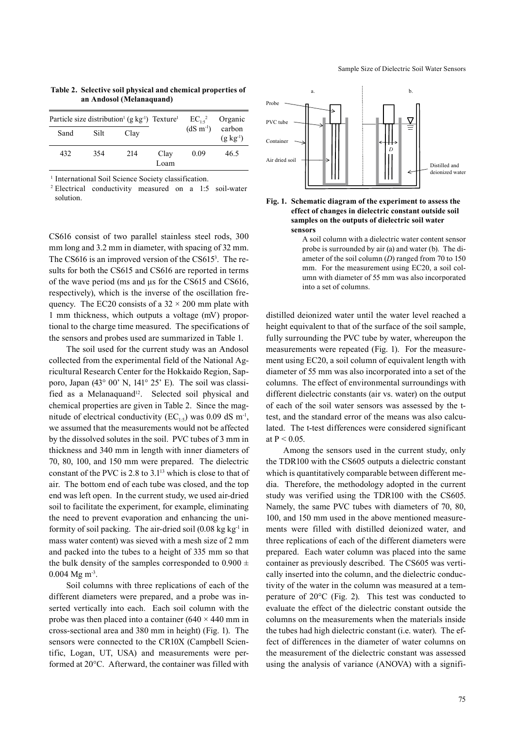| Particle size distribution <sup>1</sup> (g kg <sup>-1</sup> ) Texture <sup>1</sup> |      |      |              | $EC_{1.5}{}^{2}$ | Organic                    |
|------------------------------------------------------------------------------------|------|------|--------------|------------------|----------------------------|
| Sand                                                                               | Silt | Clay |              | $(dS \, m^{-1})$ | carbon<br>$(g \; kg^{-1})$ |
| 432                                                                                | 354  | 214  | Clay<br>Loam | 0.09             | 46.5                       |

**Table 2. Selective soil physical and chemical properties of an Andosol (Melanaquand)**

<sup>1</sup> International Soil Science Society classification.

<sup>2</sup> Electrical conductivity measured on a 1:5 soil-water solution.

CS616 consist of two parallel stainless steel rods, 300 mm long and 3.2 mm in diameter, with spacing of 32 mm. The CS616 is an improved version of the CS615<sup>3</sup>. The results for both the CS615 and CS616 are reported in terms of the wave period (ms and μs for the CS615 and CS616, respectively), which is the inverse of the oscillation frequency. The EC20 consists of a  $32 \times 200$  mm plate with 1 mm thickness, which outputs a voltage (mV) proportional to the charge time measured. The specifications of the sensors and probes used are summarized in Table 1.

The soil used for the current study was an Andosol collected from the experimental field of the National Agricultural Research Center for the Hokkaido Region, Sapporo, Japan (43° 00' N, 141° 25' E). The soil was classified as a Melanaquand<sup>12</sup>. Selected soil physical and chemical properties are given in Table 2. Since the magnitude of electrical conductivity ( $EC_{1.5}$ ) was 0.09 dS m<sup>-1</sup>, we assumed that the measurements would not be affected by the dissolved solutes in the soil. PVC tubes of 3 mm in thickness and 340 mm in length with inner diameters of 70, 80, 100, and 150 mm were prepared. The dielectric constant of the PVC is 2.8 to 3.113 which is close to that of air. The bottom end of each tube was closed, and the top end was left open. In the current study, we used air-dried soil to facilitate the experiment, for example, eliminating the need to prevent evaporation and enhancing the uniformity of soil packing. The air-dried soil  $(0.08 \text{ kg kg}^{-1})$  in mass water content) was sieved with a mesh size of 2 mm and packed into the tubes to a height of 335 mm so that the bulk density of the samples corresponded to  $0.900 \pm$  $0.004$  Mg m<sup>-3</sup>.

Soil columns with three replications of each of the different diameters were prepared, and a probe was inserted vertically into each. Each soil column with the probe was then placed into a container  $(640 \times 440 \text{ mm in})$ cross-sectional area and 380 mm in height) (Fig. 1). The sensors were connected to the CR10X (Campbell Scientific, Logan, UT, USA) and measurements were performed at 20°C. Afterward, the container was filled with





A soil column with a dielectric water content sensor probe is surrounded by air (a) and water (b). The diameter of the soil column (*D*) ranged from 70 to 150 mm. For the measurement using EC20, a soil column with diameter of 55 mm was also incorporated into a set of columns.

distilled deionized water until the water level reached a height equivalent to that of the surface of the soil sample, fully surrounding the PVC tube by water, whereupon the measurements were repeated (Fig. 1). For the measurement using EC20, a soil column of equivalent length with diameter of 55 mm was also incorporated into a set of the columns. The effect of environmental surroundings with different dielectric constants (air vs. water) on the output of each of the soil water sensors was assessed by the ttest, and the standard error of the means was also calculated. The t-test differences were considered significant at  $P < 0.05$ .

Among the sensors used in the current study, only the TDR100 with the CS605 outputs a dielectric constant which is quantitatively comparable between different media. Therefore, the methodology adopted in the current study was verified using the TDR100 with the CS605. Namely, the same PVC tubes with diameters of 70, 80, 100, and 150 mm used in the above mentioned measurements were filled with distilled deionized water, and three replications of each of the different diameters were prepared. Each water column was placed into the same container as previously described. The CS605 was vertically inserted into the column, and the dielectric conductivity of the water in the column was measured at a temperature of 20°C (Fig. 2). This test was conducted to evaluate the effect of the dielectric constant outside the columns on the measurements when the materials inside the tubes had high dielectric constant (i.e. water). The effect of differences in the diameter of water columns on the measurement of the dielectric constant was assessed using the analysis of variance (ANOVA) with a signifi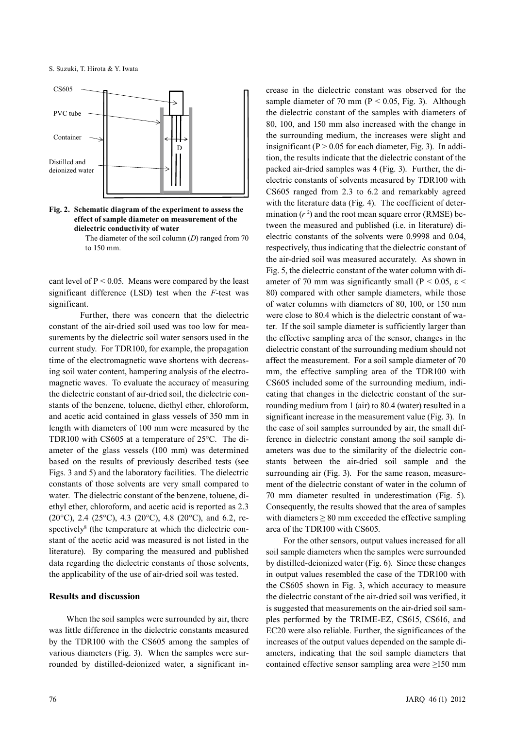S. Suzuki, T. Hirota & Y. Iwata



**Fig. 2. Schematic diagram of the experiment to assess the effect of sample diameter on measurement of the dielectric conductivity of water**

> The diameter of the soil column (*D*) ranged from 70 to 150 mm.

cant level of  $P < 0.05$ . Means were compared by the least significant difference (LSD) test when the *F*-test was significant.

Further, there was concern that the dielectric constant of the air-dried soil used was too low for measurements by the dielectric soil water sensors used in the current study. For TDR100, for example, the propagation time of the electromagnetic wave shortens with decreasing soil water content, hampering analysis of the electromagnetic waves. To evaluate the accuracy of measuring the dielectric constant of air-dried soil, the dielectric constants of the benzene, toluene, diethyl ether, chloroform, and acetic acid contained in glass vessels of 350 mm in length with diameters of 100 mm were measured by the TDR100 with CS605 at a temperature of 25°C. The diameter of the glass vessels (100 mm) was determined based on the results of previously described tests (see Figs. 3 and 5) and the laboratory facilities. The dielectric constants of those solvents are very small compared to water. The dielectric constant of the benzene, toluene, diethyl ether, chloroform, and acetic acid is reported as 2.3 (20 $^{\circ}$ C), 2.4 (25 $^{\circ}$ C), 4.3 (20 $^{\circ}$ C), 4.8 (20 $^{\circ}$ C), and 6.2, respectively<sup>8</sup> (the temperature at which the dielectric constant of the acetic acid was measured is not listed in the literature). By comparing the measured and published data regarding the dielectric constants of those solvents, the applicability of the use of air-dried soil was tested.

## **Results and discussion**

When the soil samples were surrounded by air, there was little difference in the dielectric constants measured by the TDR100 with the CS605 among the samples of various diameters (Fig. 3). When the samples were surrounded by distilled-deionized water, a significant increase in the dielectric constant was observed for the sample diameter of 70 mm ( $P < 0.05$ , Fig. 3). Although the dielectric constant of the samples with diameters of 80, 100, and 150 mm also increased with the change in the surrounding medium, the increases were slight and insignificant ( $P > 0.05$  for each diameter, Fig. 3). In addition, the results indicate that the dielectric constant of the packed air-dried samples was 4 (Fig. 3). Further, the dielectric constants of solvents measured by TDR100 with CS605 ranged from 2.3 to 6.2 and remarkably agreed with the literature data (Fig. 4). The coefficient of determination  $(r^2)$  and the root mean square error (RMSE) between the measured and published (i.e. in literature) dielectric constants of the solvents were 0.9998 and 0.04, respectively, thus indicating that the dielectric constant of the air-dried soil was measured accurately. As shown in Fig. 5, the dielectric constant of the water column with diameter of 70 mm was significantly small ( $P < 0.05$ ,  $\epsilon$ 80) compared with other sample diameters, while those of water columns with diameters of 80, 100, or 150 mm were close to 80.4 which is the dielectric constant of water. If the soil sample diameter is sufficiently larger than the effective sampling area of the sensor, changes in the dielectric constant of the surrounding medium should not affect the measurement. For a soil sample diameter of 70 mm, the effective sampling area of the TDR100 with CS605 included some of the surrounding medium, indicating that changes in the dielectric constant of the surrounding medium from 1 (air) to 80.4 (water) resulted in a significant increase in the measurement value (Fig. 3). In the case of soil samples surrounded by air, the small difference in dielectric constant among the soil sample diameters was due to the similarity of the dielectric constants between the air-dried soil sample and the surrounding air (Fig. 3). For the same reason, measurement of the dielectric constant of water in the column of 70 mm diameter resulted in underestimation (Fig. 5). Consequently, the results showed that the area of samples with diameters  $> 80$  mm exceeded the effective sampling area of the TDR100 with CS605.

For the other sensors, output values increased for all soil sample diameters when the samples were surrounded by distilled-deionized water (Fig. 6). Since these changes in output values resembled the case of the TDR100 with the CS605 shown in Fig. 3, which accuracy to measure the dielectric constant of the air-dried soil was verified, it is suggested that measurements on the air-dried soil samples performed by the TRIME-EZ, CS615, CS616, and EC20 were also reliable. Further, the significances of the increases of the output values depended on the sample diameters, indicating that the soil sample diameters that contained effective sensor sampling area were ≥150 mm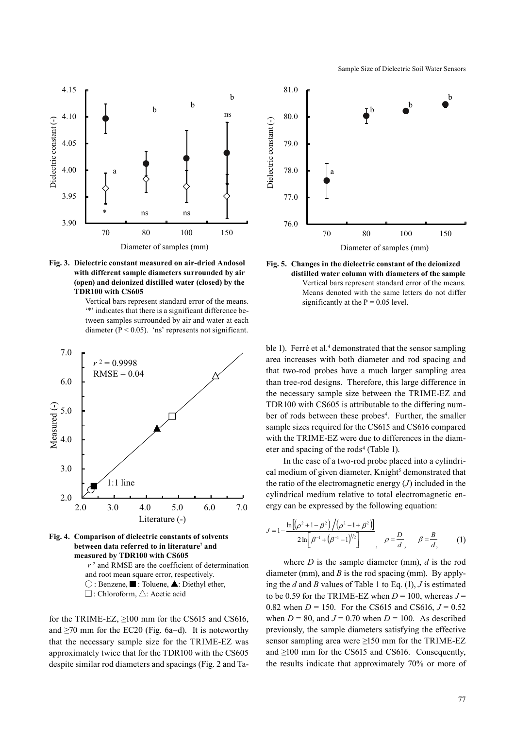



Vertical bars represent standard error of the means. '\*' indicates that there is a significant difference between samples surrounded by air and water at each diameter ( $P < 0.05$ ). 'ns' represents not significant.



**Fig. 4. Comparison of dielectric constants of solvents between data referred to in literature7 and measured by TDR100 with CS605** *r* 2 and RMSE are the coefficient of determination and root mean square error, respectively.  $\bigcirc$ : Benzene,  $\blacksquare$ : Toluene,  $\blacktriangle$ : Diethyl ether,  $\square$ : Chloroform,  $\square$ : Acetic acid

for the TRIME-EZ,  $\geq 100$  mm for the CS615 and CS616, and  $\geq$ 70 mm for the EC20 (Fig. 6a–d). It is noteworthy that the necessary sample size for the TRIME-EZ was approximately twice that for the TDR100 with the CS605 despite similar rod diameters and spacings (Fig. 2 and Ta-



Sample Size of Dielectric Soil Water Sensors



**distilled water column with diameters of the sample** Vertical bars represent standard error of the means. Means denoted with the same letters do not differ significantly at the  $P = 0.05$  level.

ble 1). Ferré et al.<sup>4</sup> demonstrated that the sensor sampling area increases with both diameter and rod spacing and that two-rod probes have a much larger sampling area than tree-rod designs. Therefore, this large difference in the necessary sample size between the TRIME-EZ and TDR100 with CS605 is attributable to the differing number of rods between these probes<sup>4</sup>. Further, the smaller sample sizes required for the CS615 and CS616 compared with the TRIME-EZ were due to differences in the diameter and spacing of the rods<sup>4</sup> (Table 1).

In the case of a two-rod probe placed into a cylindrical medium of given diameter, Knight<sup>5</sup> demonstrated that the ratio of the electromagnetic energy (*J*) included in the cylindrical medium relative to total electromagnetic energy can be expressed by the following equation:

$$
J = 1 - \frac{\ln[(\rho^2 + 1 - \beta^2)/(\rho^2 - 1 + \beta^2)]}{2\ln[\beta^{-1} + (\beta^{-1} - 1)^{1/2}]}, \quad \rho = \frac{D}{d}, \qquad \beta = \frac{B}{d}, \qquad (1)
$$

where *D* is the sample diameter (mm), *d* is the rod diameter (mm), and *B* is the rod spacing (mm). By applying the *d* and *B* values of Table 1 to Eq. (1), *J* is estimated to be 0.59 for the TRIME-EZ when  $D = 100$ , whereas  $J =$ 0.82 when  $D = 150$ . For the CS615 and CS616,  $J = 0.52$ when  $D = 80$ , and  $J = 0.70$  when  $D = 100$ . As described previously, the sample diameters satisfying the effective sensor sampling area were ≥150 mm for the TRIME-EZ and ≥100 mm for the CS615 and CS616. Consequently, the results indicate that approximately 70% or more of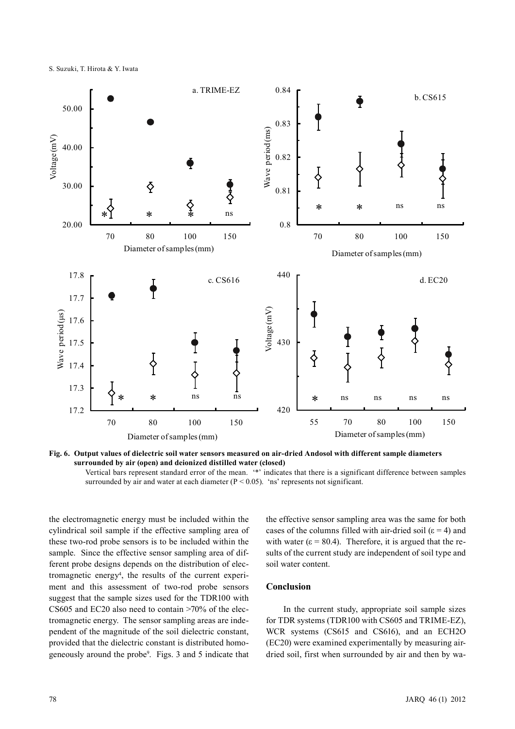S. Suzuki, T. Hirota & Y. Iwata





Vertical bars represent standard error of the mean. '\*' indicates that there is a significant difference between samples surrounded by air and water at each diameter ( $P < 0.05$ ). 'ns' represents not significant.

the electromagnetic energy must be included within the cylindrical soil sample if the effective sampling area of these two-rod probe sensors is to be included within the sample. Since the effective sensor sampling area of different probe designs depends on the distribution of electromagnetic energy4 , the results of the current experiment and this assessment of two-rod probe sensors suggest that the sample sizes used for the TDR100 with CS605 and EC20 also need to contain >70% of the electromagnetic energy. The sensor sampling areas are independent of the magnitude of the soil dielectric constant, provided that the dielectric constant is distributed homogeneously around the probe9 . Figs. 3 and 5 indicate that the effective sensor sampling area was the same for both cases of the columns filled with air-dried soil ( $\varepsilon$  = 4) and with water ( $\varepsilon$  = 80.4). Therefore, it is argued that the results of the current study are independent of soil type and soil water content.

# **Conclusion**

In the current study, appropriate soil sample sizes for TDR systems (TDR100 with CS605 and TRIME-EZ), WCR systems (CS615 and CS616), and an ECH2O (EC20) were examined experimentally by measuring airdried soil, first when surrounded by air and then by wa-